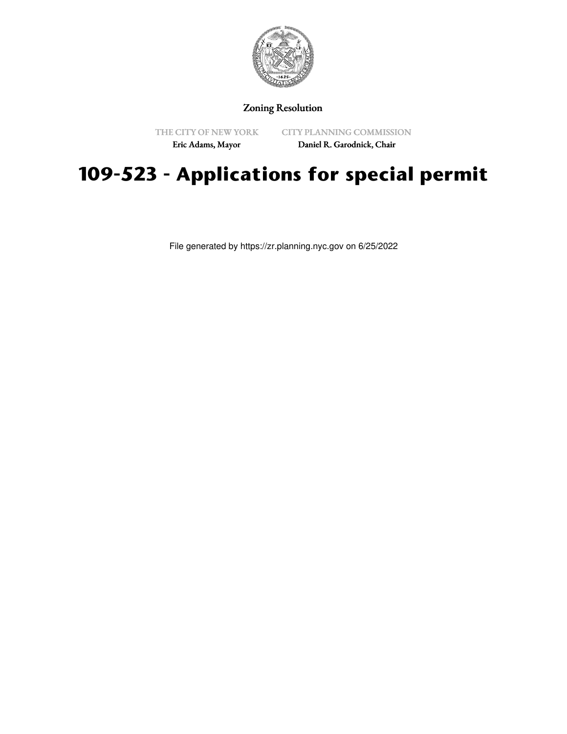

## Zoning Resolution

THE CITY OF NEW YORK

CITY PLANNING COMMISSION

Eric Adams, Mayor

Daniel R. Garodnick, Chair

## **109-523 - Applications for special permit**

File generated by https://zr.planning.nyc.gov on 6/25/2022